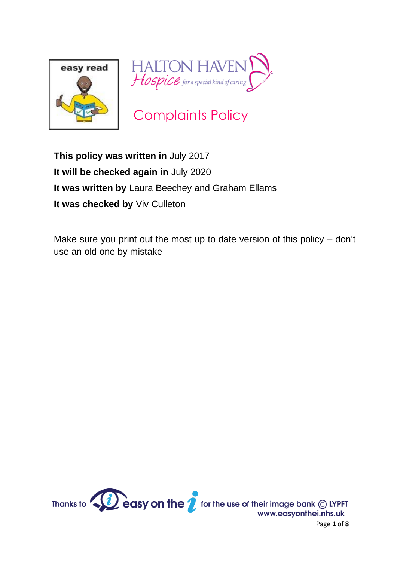



Complaints Policy

**This policy was written in** July 2017 **It will be checked again in** July 2020 **It was written by** Laura Beechey and Graham Ellams **It was checked by** Viv Culleton

Make sure you print out the most up to date version of this policy – don't use an old one by mistake



Page **1** of **8**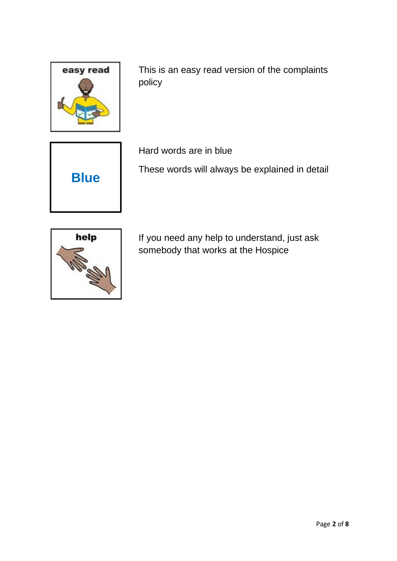

This is an easy read version of the complaints policy



Hard words are in blue

These words will always be explained in detail



If you need any help to understand, just ask somebody that works at the Hospice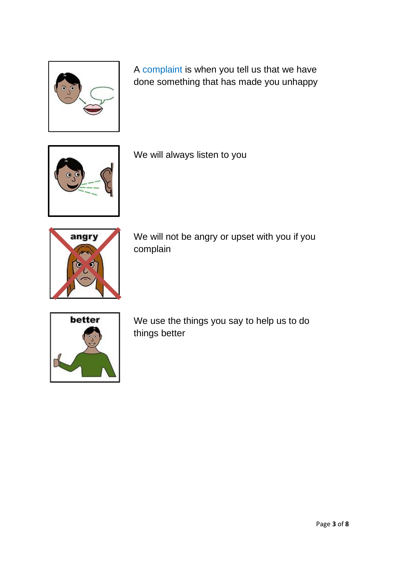

A complaint is when you tell us that we have done something that has made you unhappy



We will always listen to you



We will not be angry or upset with you if you complain



We use the things you say to help us to do things better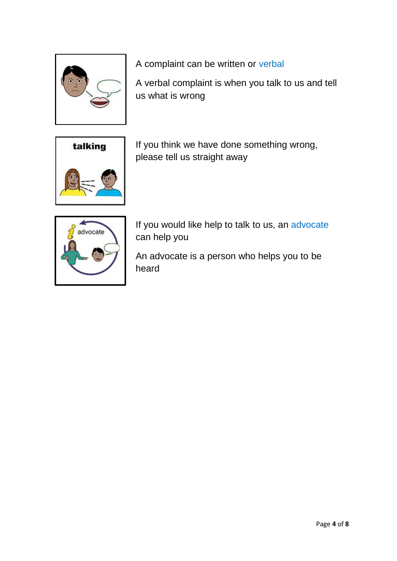

A complaint can be written or verbal

A verbal complaint is when you talk to us and tell us what is wrong



If you think we have done something wrong, please tell us straight away



If you would like help to talk to us, an advocate can help you

An advocate is a person who helps you to be heard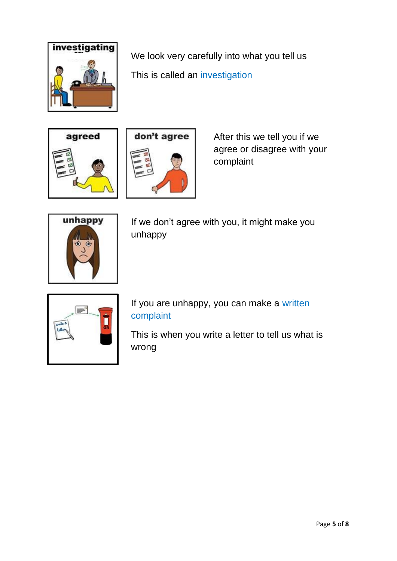

We look very carefully into what you tell us This is called an investigation





After this we tell you if we agree or disagree with your complaint



If we don't agree with you, it might make you unhappy



If you are unhappy, you can make a written complaint

This is when you write a letter to tell us what is wrong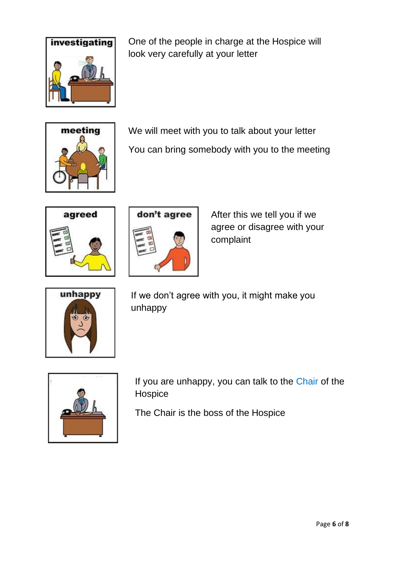

One of the people in charge at the Hospice will look very carefully at your letter



We will meet with you to talk about your letter You can bring somebody with you to the meeting





After this we tell you if we agree or disagree with your complaint



If we don't agree with you, it might make you unhappy



If you are unhappy, you can talk to the Chair of the Hospice

The Chair is the boss of the Hospice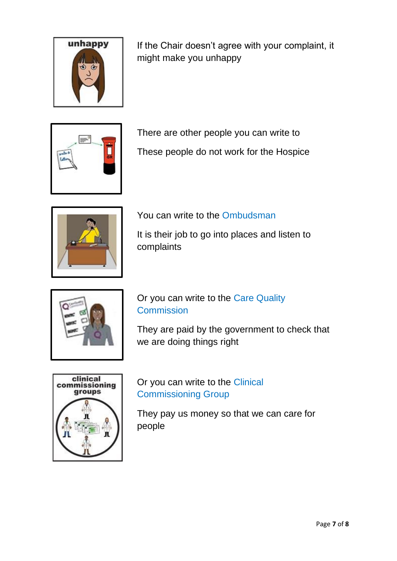

If the Chair doesn't agree with your complaint, it might make you unhappy



There are other people you can write to

These people do not work for the Hospice



You can write to the Ombudsman

It is their job to go into places and listen to complaints



Or you can write to the Care Quality **Commission** 

They are paid by the government to check that we are doing things right



Or you can write to the Clinical Commissioning Group

They pay us money so that we can care for people